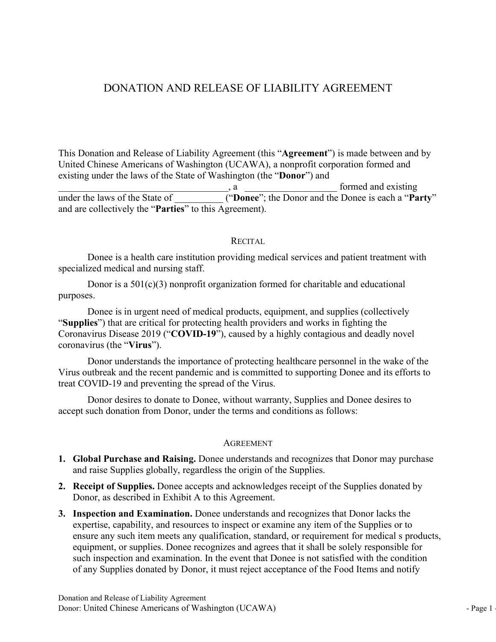# DONATION AND RELEASE OF LIABILITY AGREEMENT

DONATION AND RELEASE OF LIABILITY AGREEMENT<br>This Donation and Release of Liability Agreement (this "Agreement") is made between and by<br>United Chinese Americans of Washington (UCAWA), a nonprofit corporation formed and<br>exis DONATION AND RELEASE OF LIABILITY AGREEMENT<br>This Donation and Release of Liability Agreement (this "Agreement") is made between and by<br>United Chinese Americans of Washington (UCAWA), a nonprofit corporation formed and<br>exis **Existing United Contains AND RELEASE OF LIABILITY AGREEMENT**<br>This Donation and Release of Liability Agreement (this "Agreement") is made between and by<br>United Chinese Americans of Washington (UCAWA), a nonprofit corporati DONATION AND RELEASE OF LIABILITY AGREEMENT<br>This Donation and Release of Liability Agreement (this "Agreement") is made between and by<br>United Chinese Americans of Washington (UCAWA), a nonprofit corporation formed and<br>exis DONATION AND RELEASE OF LIABILITY AGREEMENT<br>This Donation and Release of Liability Agreement (this "Agreement") is made between and by<br>United Chinese Americans of Washington (UCAWA), a nonprofit corporation formed and<br>exi **DONATION AND RELEASE OF LIABILITY AGREEMENT**<br>This Donation and Release of Liability Agreement (this "Agreement") is made between and by<br>United Chinese Americans of Washington (UCAWA), a nonprofit corporation formed and<br>ex DONATION AND RELEASE OF LIABILITY AGREEMENT<br>
bondion and Release of Liability Agreement (this "Agreement") is made between and by<br>
Chinese Americans of Washington (UCAWA), a nonprofit corporation formed and<br>
under the law **DONATION AND RELEASE OF LIABILITY AGREEMENT**<br>
This Donation and Release of Liability Agreement (this "Agreement") is made between and by<br>
United Chinese Americans of Washington (UCAWA), a nonprofit corporation formed and **DONATION AND RELEASE OF LIABILITY AGREEMENT**<br>
mation and Release of Liability Agreement (this "Agreement") is made between and by<br>
Chinese Americans of Washington (UCAWA), a nonprofit corporation formed and<br>
under the la

## **RECITAL**

purposes.

**Example 12**<br>
Interior and Release of Liability Agreement (this "Agreement") is made between and by<br>
Chinese Americans of Washington (UCAWA), a nonprofit corporation formed and<br>
interior and the laws of the State of  $\frac{a$ This Donation and Release of Liability Agreement (this "Agreement") is made between and by<br>
United Chinese Americans of Washington (UCAWA), a nonprofit corporation formed and<br>
existing under the laws of the State of  $\frac{1$ This Donation and Release of Liability Agreement (this "Agreement") is made between and by<br>
United Chinese Americans of Washington (UCAWA), a nonprofit corporation formed and<br>
existing under the laws of the State of Washi This Donation and Release of Liability Agreement (this "Agreement") is made betw<br>
United Chinese Americans of Washington (UCAWA), a nonprofit corporation forme<br>
existing under the laws of the State of Washington (the "Don and mallelease of Lability Agreement (this "Agreement") is made between and by<br>Chinese Americans of Washington (UCAWA), a nonprofit corporation formed and<br>under the laws of the State of Washington (the "Donor") and<br>formed United Chinese Americans of Washington (UCAWA), a nonprofit corporation formed and<br>existing under the laws of the State of Washington (the "Donor") and<br>the Pomer" and arc solid and existing<br>and are collectively the "Parti Existing under the laws of the State of Washington (the "Donor") and<br>
under the laws of the State of  $\frac{a}{\sqrt{2}}$  a<br>
under the laws of the State of  $\frac{a}{\sqrt{2}}$  ("Donee"; the Donor and the Donce is each a "Party"<br>
and are is a laws of the State of **Consect Consect Consect Consect Consect Consect** and the Donee is each a "**Party**"<br>
collectively the "**Parties**" to this Agreement).<br>
RECITAI.<br>
Donee is a health care institution providing medica and are collectively the "**Parties**" to this Agreement).<br>
RECITAL<br>
Donce is a health eare institution providing medical services and patient treatment with<br>
specialized medical and rursing staff.<br>
Donor is a 501(c)(3) nonp Donce is a health care institution providing medical services and patient treatment with<br>specialized medical and nursing staff.<br>Donor is a  $501(c)(3)$  nonprofit organization formed for charitable and educational<br>purposes.<br>D and raise Supplies and Raising. Donce understands and recognizes the Supplies of the Supplies (collectively<br>Done is in urgent need of medical products, equipment, and supplies (collectively<br>**Phone** Supplies") that are cri Donor is a  $501(c)(3)$  nonprofit organization formed for charitable and educational<br>purposes.<br>
Donce is in urgent need of medical products, equipment, and supplies (collectively<br>
"Supplies") that are critical for protecting

## **AGREEMENT**

- 
- 
- Donor desires to donate to Donee, without warranty, Supplies and Donee desires to<br>accept such donation from Donor, under the terms and conditions as follows:<br>AGREEMENT<br>1. Global Purchase and Raising. Donce understands and Donor desires to donate to Donce, without warranty, Supplies and Donce desires to<br>accept such donation from Donor, under the terms and conditions as follows:<br>AGREEMENT<br>1. Clobal Purchase and Raising. Donee understands and posses.<br>
Done is in urgent need of medical products, equipment, and supplies (collectively<br>
polics'') that are critical for protecting health providers and works in fighting the<br>
ponavirus Disease 2019 ("COVID-19"), caused 3. ISO THE THE INTERT THAT ALTERT THE SIMPLES TO INTERT INTERT TO THE SUPPLES TO THE THE CONDITION IS THE CONDITION INTERT TO THE CONDITION IS USED TO THE CONDUPT IS USED TO THE CONDUPT IS USED TO THE THAT ALTER THAT ALTE **PHORE CONDITY:** That are estimal political spectra weakly and works in fighting the original variance of protecting health providers and works in fighting the maximum Disease 2019 ("COVID-19"), caused by a highly contagio **ENDIGENT COVID-19')**, caused by a highly contagious and deadly novel<br>navirus Disease 2019 ("COVID-19"), caused by a highly contagious and deadly novel<br>navirus (the "Virus").<br>Sonor understands the importance of protecting extrained the record particle of the Supplies and is controlled to the COVID-19 and preventing the space of protecting healthcare personnel in the wake of the COVID-19 and preventing the speed of the Virus.<br>
Solution and t From the importance of protecting healthcare personnel in the wake of the<br>as outhreak and the recent pandemic and is committed to supporting Donee and its efforts to<br>COVID-19 and preventing the spread of the Virus.<br>
Donor Donor understands the importance of protecting healthcare personnel in the wake of the<br>us outbreak and the recent pandemic and is committed to supporting Donee and its efforts to<br>t COVID-19 and preventing the spread of th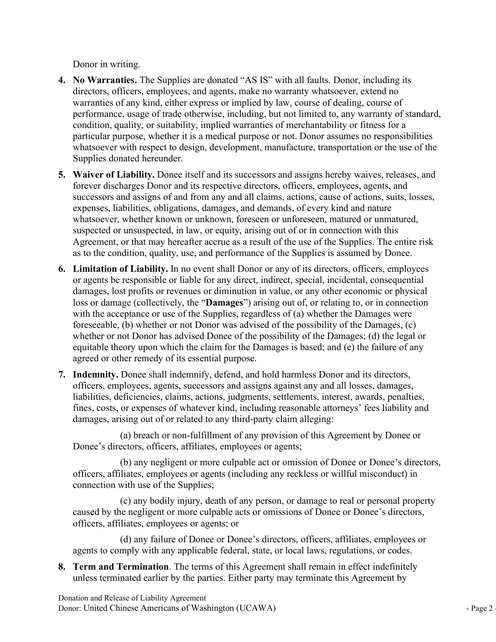- Donor in writing.<br>
No Warranties. The Supplies are donated "AS IS" with all faults. Donor, inc<br>
directors, officers, employees, and agents, make no warranty whatsoever, exte<br>
warranties of any kind, either express or impli Donor in writing.<br> **4. No Warranties.** The Supplies are donated "AS IS" with all faults. Donor, including its<br>
directors, officers, employees, and agents, make no warranty whatsoever, extend no<br>
warranties of any kind, eit Donor in writing.<br>No Warranties. The Supplies are donated "AS IS" with all faults. Donor, including its<br>directors, officers, employees, and agents, make no warranty whatsoever, extend no<br>warranties of any kind, either expr Donor in writing.<br>No Warranties. The Supplies are donated "AS IS" with all faults. Donor, including its<br>directors, officers, employees, and agents, make no warranty whatsoever, extend no<br>warrantics of any kind, either expr Donor in writing.<br>
No Warranties. The Supplies are donated "AS IS" with all faults. Donor, including its<br>
directors, officers, employees, and agents, make no warranty whatsoever, extend no<br>
warranties of any kind, either e Donor in writing.<br>
No Warranties. The Supplies are donated "AS IS" with all faults. Donor, including its<br>
directors, officers, employees, and agents, make no warranty whatsoever, extend no<br>
warranties of any kind, either e Donor in writing.<br> **No Warranties.** The Supplies are donated "AS IS" with all faults. Donor, including its<br>
directors, officers, employees, and agents, make no warranty whatsoever, extend no<br>
warrantics of any kind, either Donor in writing.<br>No Warranties. The Supplies are donated "AS IS" with all faults. Donor, including its<br>directors, officers, employees, and agents, make no warranty whatsoever, extend no<br>warranties of any kind, either expr Donor in writing.<br>
No Warranties. The Supplies are donated "AS IS" with all faults. Donor, including it<br>
directors, officers, employees, and agents, make no warranty whatsoever, extend no<br>
warranties of any kind, either ex Donor in writing.<br> **4. No Warranties.** The Supplies are donated "AS IS" with all faults. Donor, including its<br>
directors, officers, employees, and agents, make no warranty whatsoever, extend no<br>
warrantics of any kind, eit **No Warranties.** The Supplies are donated "AS IS" with all faults. Donor, including its directors, officers, employees, and agents, make no warranty whatsoever, extend no preformance, usage of trade otherwise, including, b Donor in writing.<br>
No Warranties. The Supplies are donated "AS IS" with all faults. Donor, including its<br>
directors, officers, employees, and agents, make no warranty whatsoever, extend no<br>
overranties of any kind, cither Donor in writing.<br>
No Warranties. The Supplies are donated "AS IS" with all faults. Donor, including its<br>
directors, officers, employees, and agents, make no warrantiy whatsoever, extend no<br>
warranties of any kind, either Donor in writing.<br>No Warranties. The Supplies are donated "AS IS" with all faults. Donor, including its<br>directors, officers, employees, and agents, make no warranty whatsoever, extend no<br>warrantics of any kind, either expr Donor in writing.<br>
No Warranties. The Supplies are donated "AS IS" with all faults. Donor, including its<br>
directors, officers, employees, and agents, make no warranty whatsoever, extend no<br>
warrantics of any kind, either e Donor in writing.<br>
No Warranties. The Supplies are donated "AS IS" with all faults. Donor, including its<br>
directors, officers, employees, and agents, make no warranty whatsoever, extend no<br>
ordirectors, of any kind, eliter Donor in writing.<br>
No Warranties. The Supplies are donated "AS IS" with all faults. Donor, including its<br>
directors, officers, employees, and agents, make no warranty whatsoever, extend no<br>
warrantics of any kind, cither o Donor in writing.<br>
4. No Warranties. The Supplies are donated "AS 1S" with all faults. Donor, including its<br>
directors, officers, employees, and agents, make no warranty whatsoever, extend no<br>
warranties of any kind, eithe **No Warranties.** The Supplics are donated "AS IS" with all faults. Donor, including its directors, officers, employees, and agents, mske to warranty whatsoever, extend no warrantizes of any kind, either express or implied
- Not warraness. The Supplies are to tonetally and the summant and streamed the streame performance, surfactors, officers, employees, and agents, make no warranty whatscover, extend no<br>paramatios of any kind, either express
- uncators, onceases, or dependent and game, intake to wariany whatsocket, exchain or warranties of any kind, either obrewsise, including but not limited to, any warrany of standard, performance, usage of tracto etherwise, i wariances or any stant, even the squeezes or implied or use or the constants. Our service or use of trackers or implied warranties of merchantability or fitness for a<br>performance, usage of trade otherwise, including, but n perominance, essage of uate outer swake including, out in ther or, any warranty of standard, condition, quality, or suitability, implied warranties of merchantability or fitness for a<br>particular purpose, whether it is a me conduon, quality, or sataring, or shapes are methanism of much and and particular parpose, whether it is a medical purpose or not. Donor assumes no responsibilities whatsoever with respect to design, development, manufactu particual which the same theory is an interact purpose on the claim strates is the Supplies donated hereunder.<br>
Whatsocver with respect to design, development, manifacture, transportation or the use of the Supplies donated Warksover win respect to describe the syncetopyrical, manufacture, ransportation of the six of its successors and assigns hereby waives, releases, and forever discharges Donor and its respective directors, officers, employ 5. **Waiver of Liability.** Donce itself and its successors and assigns hereby waives, releases, and forever discharges Donor and its respective directors, officers, employees, agents, and successors and assigns of and from Waver or Laminy. Loner has an in an successors and assigns lateloy waves, teases, and sincers, employees, agents, and successors and assigns of and from any and all claims, actions, cause of actions, suits, losses, success noteve ushenge somethand in sepective currects, settlements, settlements, settlements, such settlements, such settlements, such settlements, interest or the subsect of unispected or unispected, in law, or equity, arising o successors and assays or and the many and an custima, actions, cases, or experiences are atto as the suspected or terms whatsoever, whether known or unknown, foreseen or unfrocesom, mature of or mometion or expected or uns spansas, naturitues, ongazions, tamayars, arising or any the meantlest of or the mean tractive system and the Myanometrical in law, or equity, arising out of or in connection with this systement, or that may hereafter acre unsuspected, in law, or equity, arising out of or in connection with this<br>or that may hereafter accrue as a result of the use of the Supplies. The entire risk<br>ordinon, quality, use, and performance of the Supplies is assum Agreement, or that may hereafter accrue as a result of the use of the Supplies. The entire risk<br>as to the condition, quality, use, and performance of the Supplies is assumed by Dones.<br>
Limitation of Liability. In no event (antion, quarity, use, and performance or the supplies is assumed by Donee.<br> **or Liability**. In no event shall Donor or any of its directors, offices, employees<br> **ersponsible or labile for any direct**, indeer, the cultured **Limitation of Liability**. In no event shall Donor or any of its directors, officers, employees<br>or agents be responsible or lable for any direct, indricet, special, incidental, consequential<br>damages, lost profits or reven or agents be responsible or liable for any direct, indirect, special, incidental, consequential<br>damages, lost profits or revenues or diminution in value, or any other economic or physical<br>doss or damage (collectively, the is prontis or reventues or arminution in value, or any other economic or physical<br>tye (collectively, the "Damages") arising out of, or relating to, or in connection<br>eptance or use of the Supplies, regardless of (a) whether oss or amange (coluctively, the **Damages** y ansing out or, or relating to, or m comection<br>with the acceptance or use of the Supplies, regardless of (a) whether the Damages were<br>foreseeable, (b) whether or not Donor was adv
- Unidity and Release of Liabilities, deficiencies, claims, actions, judgments, settlements, interest, awards, penalties, fines, costs, or expenses of whatever kind, including reasonable attomeys' fees liability and damages, Win in eacetpane or use or ine supplines, regardes or (a) when the campages were<br>foreseeable, (b) whether or not Donor was advised of the possibility of the Damages; (c)<br>whether or not Donor has advised Done of the possibi tot Donor has advised Donee of the possibility of the Damages; (d) the legal or<br>coty upon which the claim for the Damages is based; and (e) the failure of any<br>for the remedy of its essential purpose.<br>Donee shall indemnify, equitable theory upon which the claim for the Damages is based; and (c) the failure of any<br>
areador of the remedy of its essential purpose.<br>
Indemutify, Dence shall indemutify, defend, and hold harmless Donor and its direc a greed or other remedy of its essential purpose.<br> **7. Indeminity, Denote shall indeminity, defend, and hold harmless Donor and its directors,<br>
diffection. The terms of whatever kind, including reasonable attorneys' fects,** Indemnity, Donce shall indemnity, defend, and hold harmless Donor and its directors,<br>offlecers, employes, agents, successors and assigns against any and all obsess, damages,<br>liabilities, deficiencies, claims, actions, judg

mannies, uncircuities, cannis, actoricans, and the mediation of this Agreement Space Americans (what alternation of this Agreement by Done or Done 's directors, officers a filliates, employees or agents; (a) by any neglige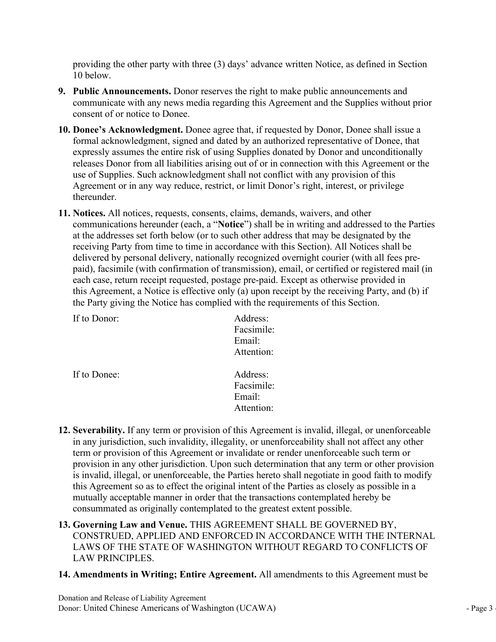- providing the other party with three (3) days' advance written Notice, as defined in Section 10 below.<br>10 below.<br>**Public Announcements.** Donor reserves the right to make public announcements and communicate with any news m providing the other party with three (3) days' advance written Notice, a<br>10 below.<br>**Public Announcements.** Donor reserves the right to make public anno<br>communicate with any news media regarding this Agreement and the S<br>con 9. Public Announcements. Donor reserves the right to make public announcements and<br>
9. Public Announcements. Donor reserves the right to make public announcements and<br>
communicate with any news media regarding this Agreeme
- providing the other party with three (3) days' advance written Notice, as defined in Section 10 below.<br> **Public Announcements.** Donor reserves the right to make public announcements and<br>
communicate with any news media reg providing the other party with three (3) days' advance written Notice, as defined in Section 10 below.<br> **Public Announcements.** Donor reserves the right to make public announcements and<br>
communicate with any news media reg 10. Donee's Acknowledgment Solon and Solon and Solon and Solon and Solon and Communicate with any news media regarding this Agreement and the Supplies without prior consent of or notice to Donee.<br>
10. Donee's Acknowledgmen providing the other party with three (3) days' advance written Notice, as defined in Section 10 below.<br> **Public Announcements.** Donor reserves the right to make public announcements and<br> **ecommunicate with any news media r** providing the other party with three (3) days' advance written Notice, as defined in Section 10 below.<br> **Public Announcements.** Donor reserves the right to make public announcements and<br>
communicate with any news media reg providing the other party with three (3) days' advance written Notice, as defined in Section<br> **Public Announcements**. Donor reserves the right to make public announcements and<br> **Public Announcements**. Donor reserves the ri providing the other party with three (3) days' advance written Notice, as defined in Section 10 below.<br> **Public Announcements.** Donor reserves the right to make public announcements and<br>
communicate with any news media reg providing the other party with three (3) days' advance written Notice, as defined in Section 10 bclow.<br> **Public Announcements.** Donor reserves the right to make public announcements and<br>
communicate with any news media reg thereunder. providing the other party with three (3) days' advance written Notice, as defined in Section<br>
10 bclow.<br>
2. **Public Announcements**. Donor reserves the right to make public announcements and<br>
communicate with any news media providing the other party with three (3) days' advance written Notice, as defined in Section 10 below.<br> **Public Announcements**. Donor reserves the right to make public announcements and<br>
communicate with any news media reg
- providing the other party with three (3) days' advance written Notice, as defined in Section<br>10 below.<br>**Public Announcements**. Donor reserves the right to make public announcements and<br>communicate with any news media regar providing the other party with three (3) days" advance written Notice, as defined in Section<br> **Public Announcements**. Donor reserves the right to make public announcements and<br> **Communicate with any news media regarding th** providing the other party with three (3) days' advance written Notice, as defined in Section 10 below.<br> **Public Announcements**. Donor reserves the right to make public announcements and<br>
communicate with any news media reg providing the other party with three (3) days' advance written Notice, as defined in Scetion<br>
10 below.<br>
20 below.<br>
20 below Announcements. Donor reserves the right to make public announcements and<br>
20 come shall issue a D 10 below.<br> **Public Announcements.** Donor reserves the right to make public announcements and<br> **control control control** any news media regarding this Agreement and the Supplies without prior<br> **Conce's Acknowledgment**. Done **Public Announcements.** Donor reserves the right to make public announcements and<br>communicate with any news media regarding this Agreement and the Supplies without prior<br>consent of or notice to Donee.<br>**Donee's Acknowledgm** Funct Nation and Hard Control and Mark Party Control and Mark Party and Mark Party and Mark Party and Mark Party and Mark Party and Mark Party and Tomes 3 Acknowledgment, signed and dated by an authorized representative of consent of or notice to Donee.<br> **Donce's Acknowledgment.** Donee agree that, if requested by Donor, Donce's **Acknowledgment**, signed and dated by an authorized representative expressily assumes the entire risk of using Supp Freeases Donit non an nanomes arising out of or in connection with the<br>suse of Supplies. Such acknowledgment shall not conflict with any provis<br>Agreement or in any way reduce, restrict, or limit Donor's right, interest,<br>th communications hereunder (each, a "Notice") shall be in writing and addressed to the Parties<br>
at the addresses set forth below (or to such other address that may be designated by the<br>
receiving Party from time to time in a at the addresses set forth below (or to such other address that may be deliganted by the deciver) dentity and indetermination continent with this Section). All Nottices shall be delivered by personal delivery, nationally r

| If to Donor: | Address:<br>Facsimile:<br>Email:<br>Attention: |
|--------------|------------------------------------------------|
| If to Donee: | Address:<br>Facsimile:<br>Email:<br>Attention: |

- Example 12. Severability, If any term or provision of this Agreement is invalid, illegal, or unenforceable<br>the many jurisdiction, such invalidity, illegaly, or unenforceablity shall not affect any other<br>term or provision o The Street Multimary of this Agreement is invalid, illegal, or unenforceable<br>in any jurisdiction, such invalidity, illegality, or unenforceability shall not affect any other<br>term or provision of this Agreement or invalidat receiving Party from time to time in accordance with this Section). All Notices shall be<br>delivered by personal delivery, nationally recognized overnight courier (with all fees pre-<br>paid), facsimile (with confirmation of tr delivered by personal delivery, nationally recognized overnight courier (with all fees pre-<br>paid), faresimle (with confirmation of transmission), email, or certified or registered mail (in<br>each case, return receipt request paid), facsimile (with confirmation of transmission), email, or certified or registered mail (in<br>each case, return receipt requested, postage pre-paid. Except as otherwise provided in<br>this Agreement, a Notice is effective each case, return receipt requested, postage pre-paid. Except as otherwise provided in<br>this Agreement, a Notice is effective only (a) upon receipt by the receiving Party, and (b) if<br>the Party giving the Notice has complied this Agreement, a Notice is effective only (a) upon receipt by the receiving Party, and (b) if<br>the Party giving the Notice has complied with the requirements of this Section.<br>
If to Donor:<br>
For the Donor:<br>
For the Manner i the Party giving the Notice has complied with the requirements of this Section.<br>
If to Donce:<br>
Address:<br>
Facsimile:<br>
Email:<br>
Attention:<br>
If to Donce:<br>
Address:<br>
Facsimile:<br>
Attention:<br>
Email:<br>
Attention:<br>
In any intriducti 16 Donor: Address:<br>
Facsimil:<br>
Facsimile:<br>
Email:<br>
Attention:<br>
11. Severability. If any term or provision of this Agreement is invalid, illegal, or unenforceable<br>
12. Severability. If any term or provision of this Agreemen Facsimile:<br>
Email:<br>
Email:<br>
Email:<br>
Attention:<br>
Attention:<br>
Attention:<br>
Severability. If any term or provision of this Agreement is invalid, illegal, or unenforceable<br>
in any jurisdiction, such invalidity, illegality, or u Email:<br>
Attention:<br>
Attention:<br>
Attention:<br>
In any jurisdiction, such invalidity, illegal, or unenforceable<br>
in any jurisdiction, such invalidity, illegaly, or unenforceability shall not affect any other<br>
term or provision Attention:<br>
If to Donec:<br>
Address:<br>
Facsimile:<br>
Email:<br>
Email:<br>
Attention:<br>
Severability. If any term or provision of this Agreement is invalid, illegal,<br>
in any jurisdiction, such invalidity, illegality, or unenforceabili 14. It is Donee:<br>  $\footnotesize$ <br>  $\footnotesize$ <br>  $\footnotesize$ <br>  $\footnotesize$ <br>  $\footnotesize$ <br> **Entire Equality**. Henny term or provision of this Agreement is invalid, illegal, or unenforceable<br>
in any jurisdiction, such invalidity, illegality, or unenforcea
- 
-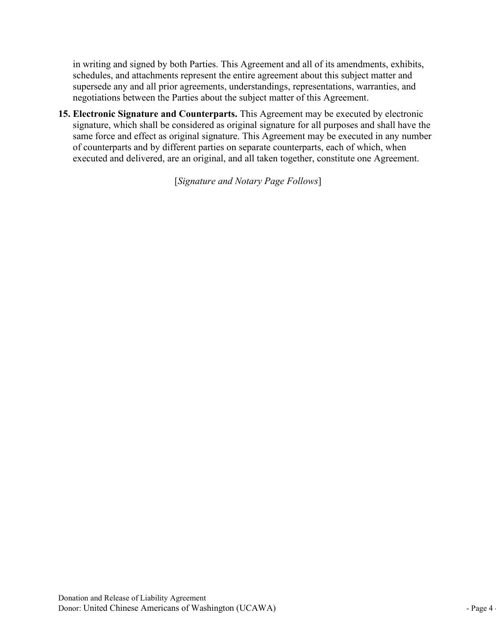in writing and signed by both Parties. This Agreement and all of its amendments, exhibits,<br>schedules, and attachments represent the entire agreement about this subject matter and<br>supersede any and all prior agreements, und in writing and signed by both Parties. This Agreement and all of its amendments, exhibits, schedules, and attachments represent the entire agreement about this subject matter and supersede any and all prior agreements, und in writing and signed by both Parties. This Agreement and all of its amendments, exhibits,<br>schedules, and attachments represent the entire agreement about this subject matter and<br>supersede any and all prior agreements, und

in writing and signed by both Parties. This Agreement and all of its amendments, exhibits, schedules, and attachments represent the entire agreement about this subject matter and supersede any and all prior agreements, und in writing and signed by both Parties. This Agreement and all of its amendments, exhibits, schedules, and attachments represent the entire agreement about this subject matter and supersede any and all prior agreements, und in writing and signed by both Parties. This Agreement and all of its amendments, exhibits, schedules, and attachments represent the entire agreement about this subject matter and experies and megotiations between the Parti in writing and signed by both Parties. This Agreement and all of its amendments, exhibits, schedules, and attachments represent the entire agreement about this subject matter and supersede any and la prior agreements, unde in writing and signed by both Parties. This Agreement and all of its amendments, exhibits, schedules, and attachments represent the entire agreement about this subject matter and supersede any and all prior agreements, und in writing and signed by both Partics. This Agreement and all of its amendments, exhibits, schedules, and attachments represent the entire agreement about this subject matter and supersede any and all prior agreements, und oth Partics. This Agreement and all of its amendments, exhibits, s represent the entire agreement about this subject matter and a Parties about the subject matter of this Agreement.<br>Parties, and Parties about the subject m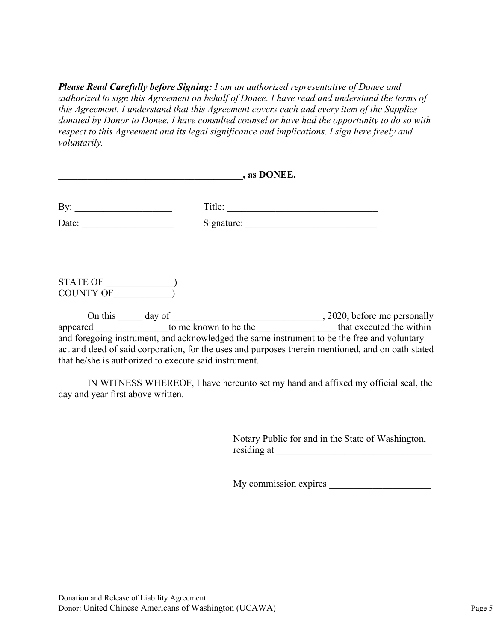**Please Read Carefully before Signing:** I am an authorized representative of Donee and<br>authorized to sign this Agreement on behalf of Donee. I have read and understand the terms of<br>this Agreement. I understand that this Ag **Please Read Carefully before Signing:** I am an authorized representative of Donee and authorized to sign this Agreement on behalf of Donee. I have read and understand the terms of this Agreement. I understand that this Ag **Please Read Carefully before Signing:** I am an authorized representative of Donee and authorized to sign this Agreement on behalf of Donee. I have read and understand the terms of this Agreement. I understand that this Ag **Please Read Carefully before Signing:** I am an authorized representative of Donee and authorized to sign this Agreement on behalf of Donee. I have read and understand the terms of this Agreement. I understand that this Ag **Please Read Carefully before Signing:** I am an authorized representative of Donee and authorized to sign this Agreement on behalf of Donee. I have read and understand the terms of this Agreement. I understand that this Ag voluntarily. **Please Read Carefully before Signing:** 1 am an authorized representative of Donee and<br>authorized to sign this Agreement on behalf of Donee. I have read and understand the terms of<br>this Agreement. I understand that this Ag

| $\overline{\phantom{a}}$ , as DONEE.<br>IN WITNESS WHEREOF, I have hereunto set my hand and affixed my official seal, the                                                                                                                                                                                                                                                                                                                                                                                                                                                                                                                                                                                                                                                                                                                                                                                   |
|-------------------------------------------------------------------------------------------------------------------------------------------------------------------------------------------------------------------------------------------------------------------------------------------------------------------------------------------------------------------------------------------------------------------------------------------------------------------------------------------------------------------------------------------------------------------------------------------------------------------------------------------------------------------------------------------------------------------------------------------------------------------------------------------------------------------------------------------------------------------------------------------------------------|
|                                                                                                                                                                                                                                                                                                                                                                                                                                                                                                                                                                                                                                                                                                                                                                                                                                                                                                             |
| Please Read Carefully before Signing: I am an authorized representative of Donee and<br>authorized to sign this Agreement on behalf of Donee. I have read and understand the terms of<br>this Agreement. I understand that this Agreement covers each and every item of the Supplies<br>donated by Donor to Donee. I have consulted counsel or have had the opportunity to do so with<br>respect to this Agreement and its legal significance and implications. I sign here freely and<br><i>voluntarily.</i><br>On this day of the strown to be the the strown to be the strong that executed the within<br>and foregoing instrument, and acknowledged the same instrument to be the free and voluntary<br>act and deed of said corporation, for the uses and purposes therein mentioned, and on oath stated<br>that he/she is authorized to execute said instrument.<br>day and year first above written. |
|                                                                                                                                                                                                                                                                                                                                                                                                                                                                                                                                                                                                                                                                                                                                                                                                                                                                                                             |
|                                                                                                                                                                                                                                                                                                                                                                                                                                                                                                                                                                                                                                                                                                                                                                                                                                                                                                             |
|                                                                                                                                                                                                                                                                                                                                                                                                                                                                                                                                                                                                                                                                                                                                                                                                                                                                                                             |
|                                                                                                                                                                                                                                                                                                                                                                                                                                                                                                                                                                                                                                                                                                                                                                                                                                                                                                             |
|                                                                                                                                                                                                                                                                                                                                                                                                                                                                                                                                                                                                                                                                                                                                                                                                                                                                                                             |
|                                                                                                                                                                                                                                                                                                                                                                                                                                                                                                                                                                                                                                                                                                                                                                                                                                                                                                             |
| My commission expires                                                                                                                                                                                                                                                                                                                                                                                                                                                                                                                                                                                                                                                                                                                                                                                                                                                                                       |

Notary Public for and in the State of Washington,<br>
residing at<br>
My commission expires<br>
My commission expires<br>
Donation and Release of Liability Agreement<br>
Donation and Release of Liability Agreement<br>
Donation Turited Chine

Donor: United Chinese Americans of Washington (UCAWA) - Page <sup>5</sup> -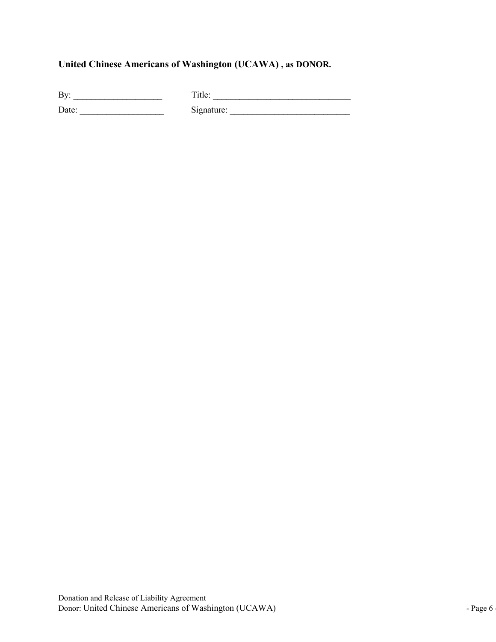| United Chinese Americans of Washington (UCAWA), as DONOR.<br>By: $\qquad \qquad$ |  |  |  |
|----------------------------------------------------------------------------------|--|--|--|